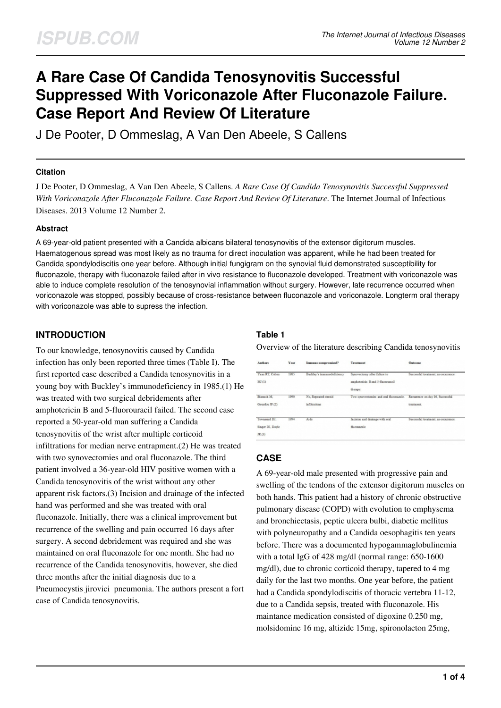# **A Rare Case Of Candida Tenosynovitis Successful Suppressed With Voriconazole After Fluconazole Failure. Case Report And Review Of Literature**

J De Pooter, D Ommeslag, A Van Den Abeele, S Callens

#### **Citation**

J De Pooter, D Ommeslag, A Van Den Abeele, S Callens. *A Rare Case Of Candida Tenosynovitis Successful Suppressed With Voriconazole After Fluconazole Failure. Case Report And Review Of Literature*. The Internet Journal of Infectious Diseases. 2013 Volume 12 Number 2.

#### **Abstract**

A 69-year-old patient presented with a Candida albicans bilateral tenosynovitis of the extensor digitorum muscles. Haematogenous spread was most likely as no trauma for direct inoculation was apparent, while he had been treated for Candida spondylodiscitis one year before. Although initial fungigram on the synovial fluid demonstrated susceptibility for fluconazole, therapy with fluconazole failed after in vivo resistance to fluconazole developed. Treatment with voriconazole was able to induce complete resolution of the tenosynovial inflammation without surgery. However, late recurrence occurred when voriconazole was stopped, possibly because of cross-resistance between fluconazole and voriconazole. Longterm oral therapy with voriconazole was able to supress the infection.

#### **INTRODUCTION**

To our knowledge, tenosynovitis caused by Candida infection has only been reported three times (Table I). The first reported case described a Candida tenosynovitis in a young boy with Buckley's immunodeficiency in 1985.(1) He was treated with two surgical debridements after amphotericin B and 5-fluorouracil failed. The second case reported a 50-year-old man suffering a Candida tenosynovitis of the wrist after multiple corticoid infiltrations for median nerve entrapment.(2) He was treated with two synovectomies and oral fluconazole. The third patient involved a 36-year-old HIV positive women with a Candida tenosynovitis of the wrist without any other apparent risk factors.(3) Incision and drainage of the infected hand was performed and she was treated with oral fluconazole. Initially, there was a clinical improvement but recurrence of the swelling and pain occurred 16 days after surgery. A second debridement was required and she was maintained on oral fluconazole for one month. She had no recurrence of the Candida tenosynovitis, however, she died three months after the initial diagnosis due to a Pneumocystis jirovici pneumonia. The authors present a fort case of Candida tenosynovitis.

## **Table 1**

Overview of the literature describing Candida tenosynovitis

| Authors                                     | <b>Year</b> | Immuno-compromised?                  | Treatment                                                                     | Outcome                                        |
|---------------------------------------------|-------------|--------------------------------------|-------------------------------------------------------------------------------|------------------------------------------------|
| Yaxa RT. Cohm<br>MI(1)                      | 1985        | Buddey's immanodeficiency            | Synovectony after failure to<br>amphotesicin B and 5-fluorouracil<br>therapy. | Successful treatment, no recurrence            |
| Bismuth M.<br>Geardou JF.CO                 | 1990        | No. Repeated stand<br>infiltrations. | Iwe synovertonies and onl flucomastle.                                        | Recurrence on day 16. Successful<br>meatiness. |
| Tewmsend DJ.<br>Singer DI, Doyle<br>JR. (3) | 1991        | Aids                                 | Incision and drainage with oral<br>Пасовалийе                                 | Saccessful treatment, no recurrence.           |

## **CASE**

A 69-year-old male presented with progressive pain and swelling of the tendons of the extensor digitorum muscles on both hands. This patient had a history of chronic obstructive pulmonary disease (COPD) with evolution to emphysema and bronchiectasis, peptic ulcera bulbi, diabetic mellitus with polyneuropathy and a Candida oesophagitis ten years before. There was a documented hypogammaglobulinemia with a total IgG of 428 mg/dl (normal range: 650-1600 mg/dl), due to chronic corticoid therapy, tapered to 4 mg daily for the last two months. One year before, the patient had a Candida spondylodiscitis of thoracic vertebra 11-12, due to a Candida sepsis, treated with fluconazole. His maintance medication consisted of digoxine 0.250 mg, molsidomine 16 mg, altizide 15mg, spironolacton 25mg,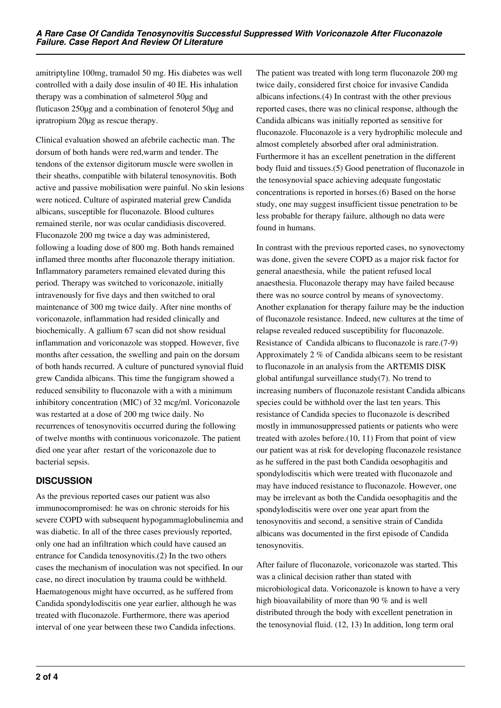amitriptyline 100mg, tramadol 50 mg. His diabetes was well controlled with a daily dose insulin of 40 IE. His inhalation therapy was a combination of salmeterol 50µg and fluticason 250µg and a combination of fenoterol 50µg and ipratropium 20µg as rescue therapy.

Clinical evaluation showed an afebrile cachectic man. The dorsum of both hands were red,warm and tender. The tendons of the extensor digitorum muscle were swollen in their sheaths, compatible with bilateral tenosynovitis. Both active and passive mobilisation were painful. No skin lesions were noticed. Culture of aspirated material grew Candida albicans, susceptible for fluconazole. Blood cultures remained sterile, nor was ocular candidiasis discovered. Fluconazole 200 mg twice a day was administered, following a loading dose of 800 mg. Both hands remained inflamed three months after fluconazole therapy initiation. Inflammatory parameters remained elevated during this period. Therapy was switched to voriconazole, initially intravenously for five days and then switched to oral maintenance of 300 mg twice daily. After nine months of voriconazole, inflammation had resided clinically and biochemically. A gallium 67 scan did not show residual inflammation and voriconazole was stopped. However, five months after cessation, the swelling and pain on the dorsum of both hands recurred. A culture of punctured synovial fluid grew Candida albicans. This time the fungigram showed a reduced sensibility to fluconazole with a with a minimum inhibitory concentration (MIC) of 32 mcg/ml. Voriconazole was restarted at a dose of 200 mg twice daily. No recurrences of tenosynovitis occurred during the following of twelve months with continuous voriconazole. The patient died one year after restart of the voriconazole due to bacterial sepsis.

## **DISCUSSION**

As the previous reported cases our patient was also immunocompromised: he was on chronic steroids for his severe COPD with subsequent hypogammaglobulinemia and was diabetic. In all of the three cases previously reported, only one had an infiltration which could have caused an entrance for Candida tenosynovitis.(2) In the two others cases the mechanism of inoculation was not specified. In our case, no direct inoculation by trauma could be withheld. Haematogenous might have occurred, as he suffered from Candida spondylodiscitis one year earlier, although he was treated with fluconazole. Furthermore, there was aperiod interval of one year between these two Candida infections.

The patient was treated with long term fluconazole 200 mg twice daily, considered first choice for invasive Candida albicans infections.(4) In contrast with the other previous reported cases, there was no clinical response, although the Candida albicans was initially reported as sensitive for fluconazole. Fluconazole is a very hydrophilic molecule and almost completely absorbed after oral administration. Furthermore it has an excellent penetration in the different body fluid and tissues.(5) Good penetration of fluconazole in the tenosynovial space achieving adequate fungostatic concentrations is reported in horses.(6) Based on the horse study, one may suggest insufficient tissue penetration to be less probable for therapy failure, although no data were found in humans.

In contrast with the previous reported cases, no synovectomy was done, given the severe COPD as a major risk factor for general anaesthesia, while the patient refused local anaesthesia. Fluconazole therapy may have failed because there was no source control by means of synovectomy. Another explanation for therapy failure may be the induction of fluconazole resistance. Indeed, new cultures at the time of relapse revealed reduced susceptibility for fluconazole. Resistance of Candida albicans to fluconazole is rare.(7-9) Approximately 2 % of Candida albicans seem to be resistant to fluconazole in an analysis from the ARTEMIS DISK global antifungal surveillance study(7). No trend to increasing numbers of fluconazole resistant Candida albicans species could be withhold over the last ten years. This resistance of Candida species to fluconazole is described mostly in immunosuppressed patients or patients who were treated with azoles before.(10, 11) From that point of view our patient was at risk for developing fluconazole resistance as he suffered in the past both Candida oesophagitis and spondylodiscitis which were treated with fluconazole and may have induced resistance to fluconazole. However, one may be irrelevant as both the Candida oesophagitis and the spondylodiscitis were over one year apart from the tenosynovitis and second, a sensitive strain of Candida albicans was documented in the first episode of Candida tenosynovitis.

After failure of fluconazole, voriconazole was started. This was a clinical decision rather than stated with microbiological data. Voriconazole is known to have a very high bioavailability of more than 90 % and is well distributed through the body with excellent penetration in the tenosynovial fluid. (12, 13) In addition, long term oral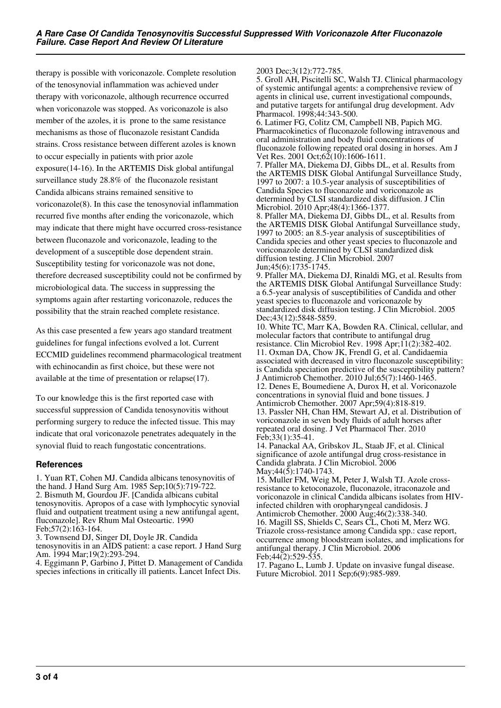therapy is possible with voriconazole. Complete resolution of the tenosynovial inflammation was achieved under therapy with voriconazole, although recurrence occurred when voriconazole was stopped. As voriconazole is also member of the azoles, it is prone to the same resistance mechanisms as those of fluconazole resistant Candida strains. Cross resistance between different azoles is known to occur especially in patients with prior azole exposure(14-16). In the ARTEMIS Disk global antifungal surveillance study 28.8% of the fluconazole resistant Candida albicans strains remained sensitive to voriconazole(8). In this case the tenosynovial inflammation recurred five months after ending the voriconazole, which may indicate that there might have occurred cross-resistance between fluconazole and voriconazole, leading to the development of a susceptible dose dependent strain. Susceptibility testing for voriconazole was not done, therefore decreased susceptibility could not be confirmed by microbiological data. The success in suppressing the symptoms again after restarting voriconazole, reduces the possibility that the strain reached complete resistance.

As this case presented a few years ago standard treatment guidelines for fungal infections evolved a lot. Current ECCMID guidelines recommend pharmacological treatment with echinocandin as first choice, but these were not available at the time of presentation or relapse(17).

To our knowledge this is the first reported case with successful suppression of Candida tenosynovitis without performing surgery to reduce the infected tissue. This may indicate that oral voriconazole penetrates adequately in the synovial fluid to reach fungostatic concentrations.

#### **References**

1. Yuan RT, Cohen MJ. Candida albicans tenosynovitis of the hand. J Hand Surg Am. 1985 Sep;10(5):719-722. 2. Bismuth M, Gourdou JF. [Candida albicans cubital tenosynovitis. Apropos of a case with lymphocytic synovial fluid and outpatient treatment using a new antifungal agent, fluconazole]. Rev Rhum Mal Osteoartic. 1990 Feb;57(2):163-164.

3. Townsend DJ, Singer DI, Doyle JR. Candida tenosynovitis in an AIDS patient: a case report. J Hand Surg Am. 1994 Mar;19(2):293-294.

4. Eggimann P, Garbino J, Pittet D. Management of Candida species infections in critically ill patients. Lancet Infect Dis.

2003 Dec;3(12):772-785.

5. Groll AH, Piscitelli SC, Walsh TJ. Clinical pharmacology of systemic antifungal agents: a comprehensive review of agents in clinical use, current investigational compounds, and putative targets for antifungal drug development. Adv Pharmacol. 1998;44:343-500.

6. Latimer FG, Colitz CM, Campbell NB, Papich MG. Pharmacokinetics of fluconazole following intravenous and oral administration and body fluid concentrations of fluconazole following repeated oral dosing in horses. Am J Vet Res. 2001 Oct; $62(10)$ : 1606-1611.

7. Pfaller MA, Diekema DJ, Gibbs DL, et al. Results from the ARTEMIS DISK Global Antifungal Surveillance Study, 1997 to 2007: a 10.5-year analysis of susceptibilities of Candida Species to fluconazole and voriconazole as determined by CLSI standardized disk diffusion. J Clin Microbiol. 2010 Apr;48(4):1366-1377.

8. Pfaller MA, Diekema DJ, Gibbs DL, et al. Results from the ARTEMIS DISK Global Antifungal Surveillance study, 1997 to 2005: an 8.5-year analysis of susceptibilities of Candida species and other yeast species to fluconazole and voriconazole determined by CLSI standardized disk diffusion testing. J Clin Microbiol. 2007 Jun;45(6):1735-1745.

9. Pfaller MA, Diekema DJ, Rinaldi MG, et al. Results from the ARTEMIS DISK Global Antifungal Surveillance Study: a 6.5-year analysis of susceptibilities of Candida and other yeast species to fluconazole and voriconazole by standardized disk diffusion testing. J Clin Microbiol. 2005 Dec;43(12):5848-5859.

10. White TC, Marr KA, Bowden RA. Clinical, cellular, and molecular factors that contribute to antifungal drug resistance. Clin Microbiol Rev. 1998 Apr;11(2):382-402. 11. Oxman DA, Chow JK, Frendl G, et al. Candidaemia associated with decreased in vitro fluconazole susceptibility: is Candida speciation predictive of the susceptibility pattern? J Antimicrob Chemother. 2010 Jul;65(7):1460-1465. 12. Denes E, Boumediene A, Durox H, et al. Voriconazole concentrations in synovial fluid and bone tissues. J Antimicrob Chemother. 2007 Apr;59(4):818-819. 13. Passler NH, Chan HM, Stewart AJ, et al. Distribution of voriconazole in seven body fluids of adult horses after repeated oral dosing. J Vet Pharmacol Ther. 2010 Feb;33(1):35-41.

14. Panackal AA, Gribskov JL, Staab JF, et al. Clinical significance of azole antifungal drug cross-resistance in Candida glabrata. J Clin Microbiol. 2006 May;44(5):1740-1743.

15. Muller FM, Weig M, Peter J, Walsh TJ. Azole crossresistance to ketoconazole, fluconazole, itraconazole and voriconazole in clinical Candida albicans isolates from HIVinfected children with oropharyngeal candidosis. J Antimicrob Chemother. 2000 Aug;46(2):338-340. 16. Magill SS, Shields C, Sears CL, Choti M, Merz WG. Triazole cross-resistance among Candida spp.: case report, occurrence among bloodstream isolates, and implications for antifungal therapy. J Clin Microbiol. 2006 Feb;  $44(2)$ : 529-535.

17. Pagano L, Lumb J. Update on invasive fungal disease. Future Microbiol. 2011 Sep;6(9):985-989.